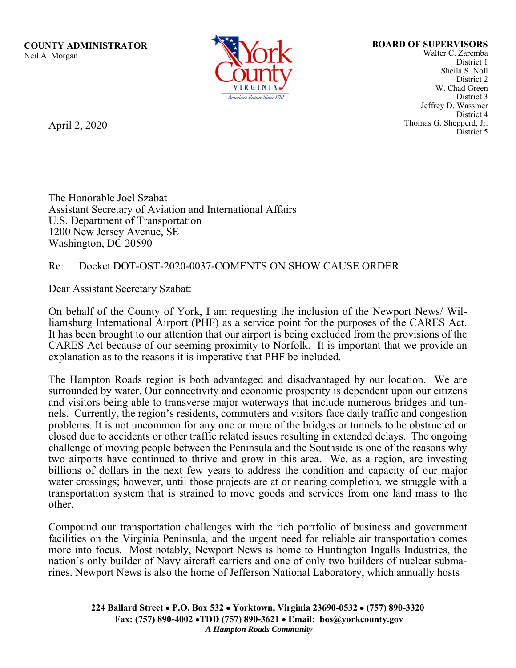**COUNTY ADMINISTRATOR BOARD OF SUPERVISORS BOARD OF SUPERVISORS BOARD OF SUPERVISORS** Neil A. Morgan Walter C. Zaremba



 Jeffrey D. Wassmer District 1 Sheila S. Noll District 2 W. Chad Green District 3 District 4 April 2, 2020 Thomas G. Shepperd, Jr. District 5

The Honorable Joel Szabat Assistant Secretary of Aviation and International Affairs U.S. Department of Transportation 1200 New Jersey Avenue, SE Washington, DC 20590

## Re: Docket DOT-OST-2020-0037-COMENTS ON SHOW CAUSE ORDER

Dear Assistant Secretary Szabat:

 On behalf of the County of York, I am requesting the inclusion of the Newport News/ Williamsburg International Airport (PHF) as a service point for the purposes of the CARES Act. It has been brought to our attention that our airport is being excluded from the provisions of the CARES Act because of our seeming proximity to Norfolk. It is important that we provide an explanation as to the reasons it is imperative that PHF be included.

 and visitors being able to transverse major waterways that include numerous bridges and tun- problems. It is not uncommon for any one or more of the bridges or tunnels to be obstructed or The Hampton Roads region is both advantaged and disadvantaged by our location. We are surrounded by water. Our connectivity and economic prosperity is dependent upon our citizens nels. Currently, the region's residents, commuters and visitors face daily traffic and congestion closed due to accidents or other traffic related issues resulting in extended delays. The ongoing challenge of moving people between the Peninsula and the Southside is one of the reasons why two airports have continued to thrive and grow in this area. We, as a region, are investing billions of dollars in the next few years to address the condition and capacity of our major water crossings; however, until those projects are at or nearing completion, we struggle with a transportation system that is strained to move goods and services from one land mass to the other.

 nation's only builder of Navy aircraft carriers and one of only two builders of nuclear subma-Compound our transportation challenges with the rich portfolio of business and government facilities on the Virginia Peninsula, and the urgent need for reliable air transportation comes more into focus. Most notably, Newport News is home to Huntington Ingalls Industries, the rines. Newport News is also the home of Jefferson National Laboratory, which annually hosts

> **224 Ballard Street P.O. Box 532 Yorktown, Virginia 23690-0532 (757) 890-3320 Fax: (757) 890-4002 TDD (757) 890-3621 Email: [bos@yorkcounty.gov](mailto:bos@yorkcounty.gov)** *A Hampton Roads Community*